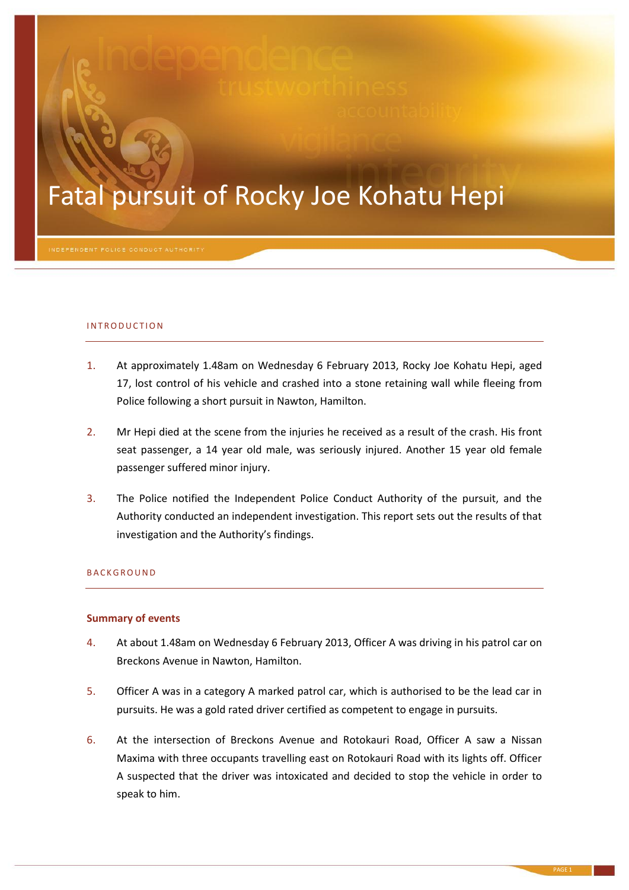# Fatal pursuit of Rocky Joe Kohatu Hepi

#### INTRODUCTION

- 1. At approximately 1.48am on Wednesday 6 February 2013, Rocky Joe Kohatu Hepi, aged 17, lost control of his vehicle and crashed into a stone retaining wall while fleeing from Police following a short pursuit in Nawton, Hamilton.
- 2. Mr Hepi died at the scene from the injuries he received as a result of the crash. His front seat passenger, a 14 year old male, was seriously injured. Another 15 year old female passenger suffered minor injury.
- 3. The Police notified the Independent Police Conduct Authority of the pursuit, and the Authority conducted an independent investigation. This report sets out the results of that investigation and the Authority's findings.

# **BACKGROUND**

#### **Summary of events**

- 4. At about 1.48am on Wednesday 6 February 2013, Officer A was driving in his patrol car on Breckons Avenue in Nawton, Hamilton.
- 5. Officer A was in a category A marked patrol car, which is authorised to be the lead car in pursuits. He was a gold rated driver certified as competent to engage in pursuits.
- 6. At the intersection of Breckons Avenue and Rotokauri Road, Officer A saw a Nissan Maxima with three occupants travelling east on Rotokauri Road with its lights off. Officer A suspected that the driver was intoxicated and decided to stop the vehicle in order to speak to him.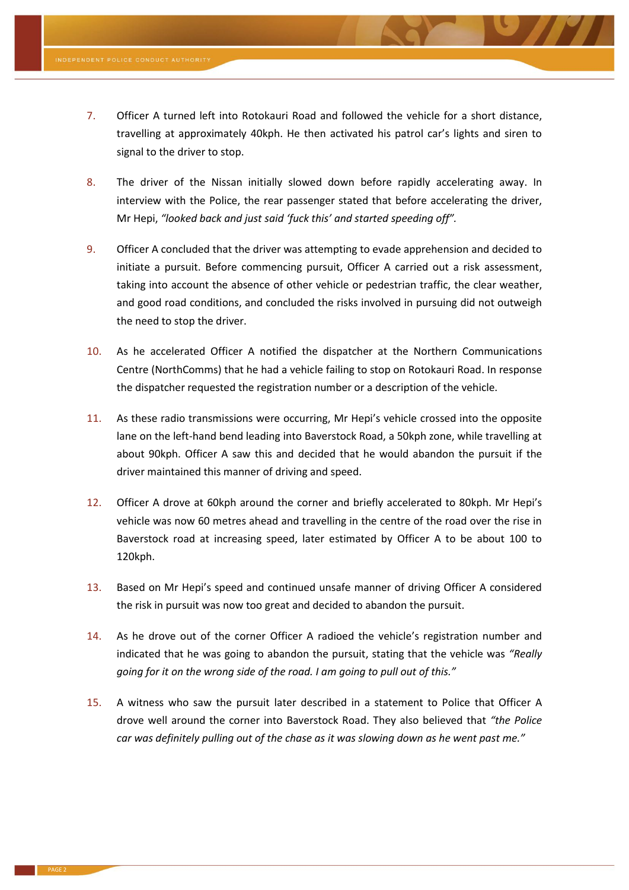- 7. Officer A turned left into Rotokauri Road and followed the vehicle for a short distance, travelling at approximately 40kph. He then activated his patrol car's lights and siren to signal to the driver to stop.
- 8. The driver of the Nissan initially slowed down before rapidly accelerating away. In interview with the Police, the rear passenger stated that before accelerating the driver, Mr Hepi, *"looked back and just said 'fuck this' and started speeding off".*
- 9. Officer A concluded that the driver was attempting to evade apprehension and decided to initiate a pursuit. Before commencing pursuit, Officer A carried out a risk assessment, taking into account the absence of other vehicle or pedestrian traffic, the clear weather, and good road conditions, and concluded the risks involved in pursuing did not outweigh the need to stop the driver.
- 10. As he accelerated Officer A notified the dispatcher at the Northern Communications Centre (NorthComms) that he had a vehicle failing to stop on Rotokauri Road. In response the dispatcher requested the registration number or a description of the vehicle.
- 11. As these radio transmissions were occurring, Mr Hepi's vehicle crossed into the opposite lane on the left-hand bend leading into Baverstock Road, a 50kph zone, while travelling at about 90kph. Officer A saw this and decided that he would abandon the pursuit if the driver maintained this manner of driving and speed.
- 12. Officer A drove at 60kph around the corner and briefly accelerated to 80kph. Mr Hepi's vehicle was now 60 metres ahead and travelling in the centre of the road over the rise in Baverstock road at increasing speed, later estimated by Officer A to be about 100 to 120kph.
- 13. Based on Mr Hepi's speed and continued unsafe manner of driving Officer A considered the risk in pursuit was now too great and decided to abandon the pursuit.
- 14. As he drove out of the corner Officer A radioed the vehicle's registration number and indicated that he was going to abandon the pursuit, stating that the vehicle was *"Really going for it on the wrong side of the road. I am going to pull out of this."*
- 15. A witness who saw the pursuit later described in a statement to Police that Officer A drove well around the corner into Baverstock Road. They also believed that *"the Police car was definitely pulling out of the chase as it was slowing down as he went past me."*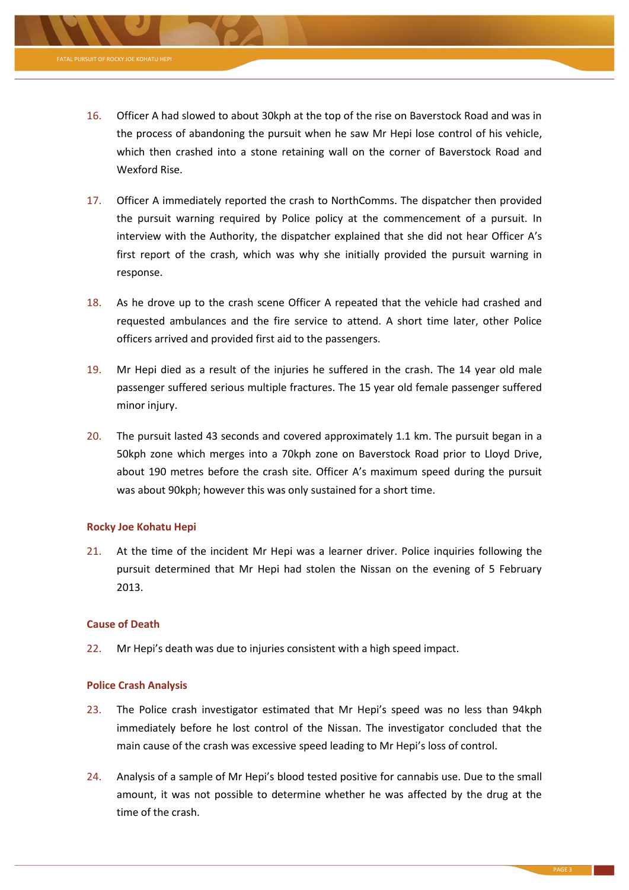

- 17. Officer A immediately reported the crash to NorthComms. The dispatcher then provided the pursuit warning required by Police policy at the commencement of a pursuit. In interview with the Authority, the dispatcher explained that she did not hear Officer A's first report of the crash, which was why she initially provided the pursuit warning in response.
- 18. As he drove up to the crash scene Officer A repeated that the vehicle had crashed and requested ambulances and the fire service to attend. A short time later, other Police officers arrived and provided first aid to the passengers.
- 19. Mr Hepi died as a result of the injuries he suffered in the crash. The 14 year old male passenger suffered serious multiple fractures. The 15 year old female passenger suffered minor injury.
- 20. The pursuit lasted 43 seconds and covered approximately 1.1 km. The pursuit began in a 50kph zone which merges into a 70kph zone on Baverstock Road prior to Lloyd Drive, about 190 metres before the crash site. Officer A's maximum speed during the pursuit was about 90kph; however this was only sustained for a short time.

# **Rocky Joe Kohatu Hepi**

21. At the time of the incident Mr Hepi was a learner driver. Police inquiries following the pursuit determined that Mr Hepi had stolen the Nissan on the evening of 5 February 2013.

# **Cause of Death**

22. Mr Hepi's death was due to injuries consistent with a high speed impact.

# **Police Crash Analysis**

- 23. The Police crash investigator estimated that Mr Hepi's speed was no less than 94kph immediately before he lost control of the Nissan. The investigator concluded that the main cause of the crash was excessive speed leading to Mr Hepi's loss of control.
- 24. Analysis of a sample of Mr Hepi's blood tested positive for cannabis use. Due to the small amount, it was not possible to determine whether he was affected by the drug at the time of the crash.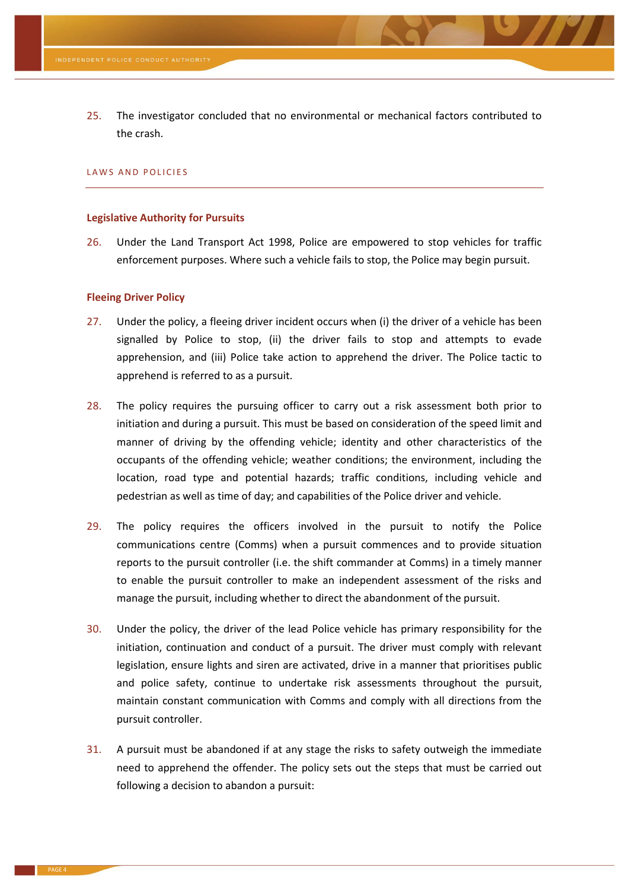25. The investigator concluded that no environmental or mechanical factors contributed to the crash.

#### LAWS AND POLICIES

#### **Legislative Authority for Pursuits**

26. Under the Land Transport Act 1998, Police are empowered to stop vehicles for traffic enforcement purposes. Where such a vehicle fails to stop, the Police may begin pursuit.

#### **Fleeing Driver Policy**

- 27. Under the policy, a fleeing driver incident occurs when (i) the driver of a vehicle has been signalled by Police to stop, (ii) the driver fails to stop and attempts to evade apprehension, and (iii) Police take action to apprehend the driver. The Police tactic to apprehend is referred to as a pursuit.
- 28. The policy requires the pursuing officer to carry out a risk assessment both prior to initiation and during a pursuit. This must be based on consideration of the speed limit and manner of driving by the offending vehicle; identity and other characteristics of the occupants of the offending vehicle; weather conditions; the environment, including the location, road type and potential hazards; traffic conditions, including vehicle and pedestrian as well as time of day; and capabilities of the Police driver and vehicle.
- 29. The policy requires the officers involved in the pursuit to notify the Police communications centre (Comms) when a pursuit commences and to provide situation reports to the pursuit controller (i.e. the shift commander at Comms) in a timely manner to enable the pursuit controller to make an independent assessment of the risks and manage the pursuit, including whether to direct the abandonment of the pursuit.
- 30. Under the policy, the driver of the lead Police vehicle has primary responsibility for the initiation, continuation and conduct of a pursuit. The driver must comply with relevant legislation, ensure lights and siren are activated, drive in a manner that prioritises public and police safety, continue to undertake risk assessments throughout the pursuit, maintain constant communication with Comms and comply with all directions from the pursuit controller.
- 31. A pursuit must be abandoned if at any stage the risks to safety outweigh the immediate need to apprehend the offender. The policy sets out the steps that must be carried out following a decision to abandon a pursuit: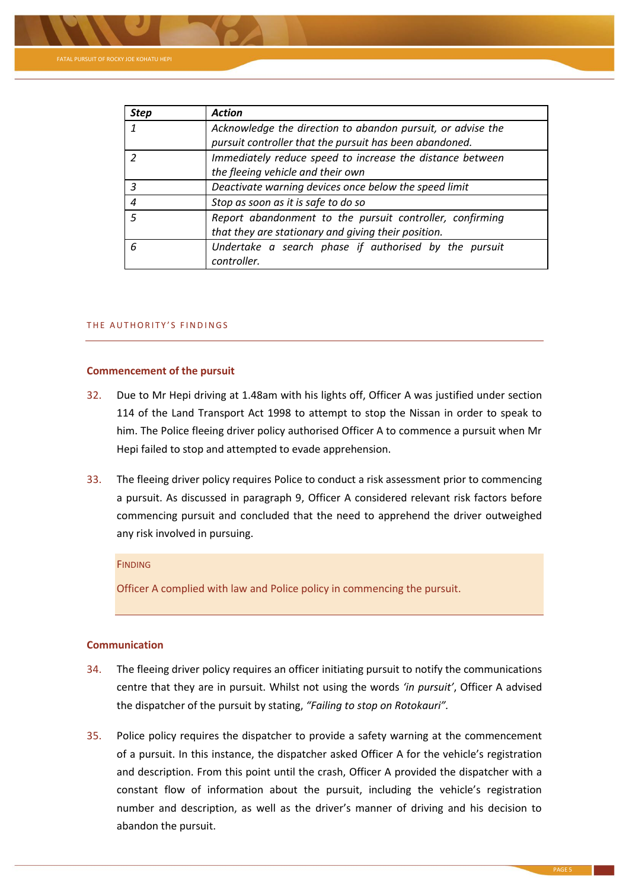

| <b>Step</b>   | <b>Action</b>                                                                                                          |
|---------------|------------------------------------------------------------------------------------------------------------------------|
|               | Acknowledge the direction to abandon pursuit, or advise the<br>pursuit controller that the pursuit has been abandoned. |
| $\mathcal{P}$ | Immediately reduce speed to increase the distance between<br>the fleeing vehicle and their own                         |
| 3             | Deactivate warning devices once below the speed limit                                                                  |
| 4             | Stop as soon as it is safe to do so                                                                                    |
| 5             | Report abandonment to the pursuit controller, confirming<br>that they are stationary and giving their position.        |
| 6             | Undertake a search phase if authorised by the pursuit<br>controller.                                                   |

### THE AUTHORITY'S FINDINGS

#### **Commencement of the pursuit**

- 32. Due to Mr Hepi driving at 1.48am with his lights off, Officer A was justified under section 114 of the Land Transport Act 1998 to attempt to stop the Nissan in order to speak to him. The Police fleeing driver policy authorised Officer A to commence a pursuit when Mr Hepi failed to stop and attempted to evade apprehension.
- 33. The fleeing driver policy requires Police to conduct a risk assessment prior to commencing a pursuit. As discussed in paragraph 9, Officer A considered relevant risk factors before commencing pursuit and concluded that the need to apprehend the driver outweighed any risk involved in pursuing.

### **FINDING**

Officer A complied with law and Police policy in commencing the pursuit.

# **Communication**

- 34. The fleeing driver policy requires an officer initiating pursuit to notify the communications centre that they are in pursuit. Whilst not using the words *'in pursuit'*, Officer A advised the dispatcher of the pursuit by stating, *"Failing to stop on Rotokauri".*
- 35. Police policy requires the dispatcher to provide a safety warning at the commencement of a pursuit. In this instance, the dispatcher asked Officer A for the vehicle's registration and description. From this point until the crash, Officer A provided the dispatcher with a constant flow of information about the pursuit, including the vehicle's registration number and description, as well as the driver's manner of driving and his decision to abandon the pursuit.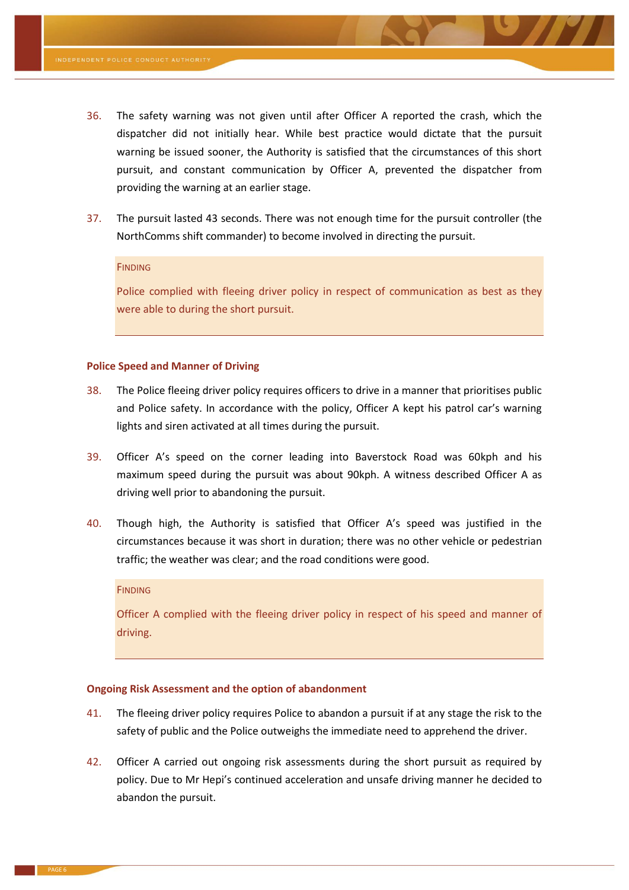- 36. The safety warning was not given until after Officer A reported the crash, which the dispatcher did not initially hear. While best practice would dictate that the pursuit warning be issued sooner, the Authority is satisfied that the circumstances of this short pursuit, and constant communication by Officer A, prevented the dispatcher from providing the warning at an earlier stage.
- 37. The pursuit lasted 43 seconds. There was not enough time for the pursuit controller (the NorthComms shift commander) to become involved in directing the pursuit.

### **FINDING**

Police complied with fleeing driver policy in respect of communication as best as they were able to during the short pursuit.

### **Police Speed and Manner of Driving**

- 38. The Police fleeing driver policy requires officers to drive in a manner that prioritises public and Police safety. In accordance with the policy, Officer A kept his patrol car's warning lights and siren activated at all times during the pursuit.
- 39. Officer A's speed on the corner leading into Baverstock Road was 60kph and his maximum speed during the pursuit was about 90kph. A witness described Officer A as driving well prior to abandoning the pursuit.
- 40. Though high, the Authority is satisfied that Officer A's speed was justified in the circumstances because it was short in duration; there was no other vehicle or pedestrian traffic; the weather was clear; and the road conditions were good.

#### **FINDING**

Officer A complied with the fleeing driver policy in respect of his speed and manner of driving.

# **Ongoing Risk Assessment and the option of abandonment**

- 41. The fleeing driver policy requires Police to abandon a pursuit if at any stage the risk to the safety of public and the Police outweighs the immediate need to apprehend the driver.
- 42. Officer A carried out ongoing risk assessments during the short pursuit as required by policy. Due to Mr Hepi's continued acceleration and unsafe driving manner he decided to abandon the pursuit.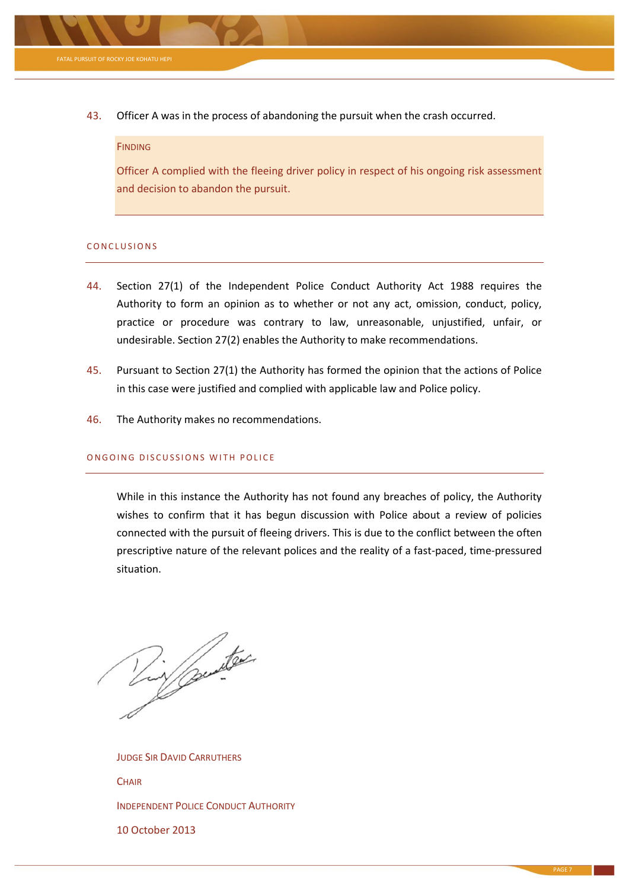

43. Officer A was in the process of abandoning the pursuit when the crash occurred.

# **FINDING**

Officer A complied with the fleeing driver policy in respect of his ongoing risk assessment and decision to abandon the pursuit.

#### CONCLUSIONS

- 44. Section 27(1) of the Independent Police Conduct Authority Act 1988 requires the Authority to form an opinion as to whether or not any act, omission, conduct, policy, practice or procedure was contrary to law, unreasonable, unjustified, unfair, or undesirable. Section 27(2) enables the Authority to make recommendations.
- 45. Pursuant to Section 27(1) the Authority has formed the opinion that the actions of Police in this case were justified and complied with applicable law and Police policy.
- 46. The Authority makes no recommendations.

# ONGOING DISCUSSIONS WITH POLICE

While in this instance the Authority has not found any breaches of policy, the Authority wishes to confirm that it has begun discussion with Police about a review of policies connected with the pursuit of fleeing drivers. This is due to the conflict between the often prescriptive nature of the relevant polices and the reality of a fast-paced, time-pressured situation.

Tin punter

JUDGE SIR DAVID CARRUTHERS **CHAIR** INDEPENDENT POLICE CONDUCT AUTHORITY 10 October 2013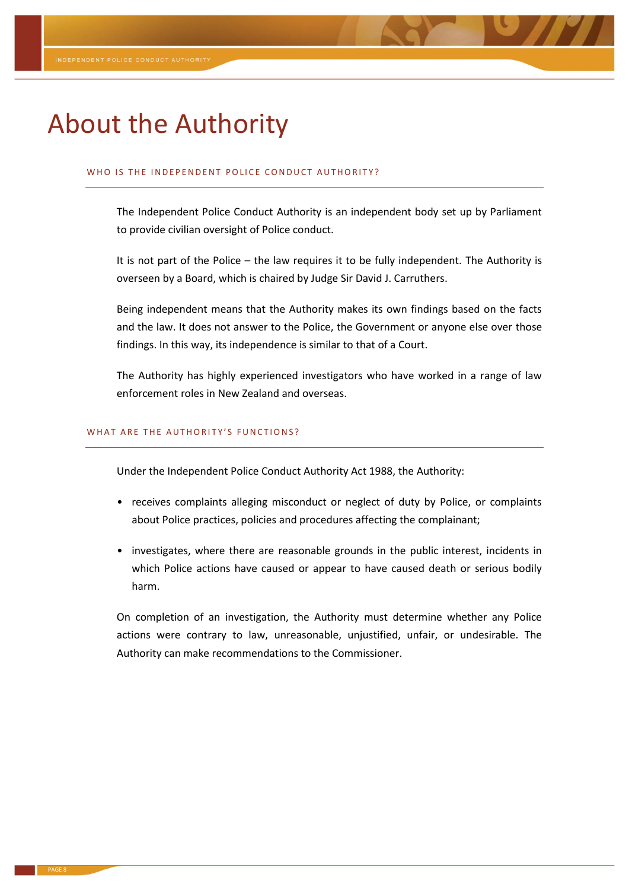# About the Authority

#### WHO IS THE INDEPENDENT POLICE CONDUCT AUTHORITY?

The Independent Police Conduct Authority is an independent body set up by Parliament to provide civilian oversight of Police conduct.

It is not part of the Police – the law requires it to be fully independent. The Authority is overseen by a Board, which is chaired by Judge Sir David J. Carruthers.

Being independent means that the Authority makes its own findings based on the facts and the law. It does not answer to the Police, the Government or anyone else over those findings. In this way, its independence is similar to that of a Court.

The Authority has highly experienced investigators who have worked in a range of law enforcement roles in New Zealand and overseas.

#### WHAT ARE THE AUTHORITY'S FUNCTIONS?

Under the Independent Police Conduct Authority Act 1988, the Authority:

- receives complaints alleging misconduct or neglect of duty by Police, or complaints about Police practices, policies and procedures affecting the complainant;
- investigates, where there are reasonable grounds in the public interest, incidents in which Police actions have caused or appear to have caused death or serious bodily harm.

On completion of an investigation, the Authority must determine whether any Police actions were contrary to law, unreasonable, unjustified, unfair, or undesirable. The Authority can make recommendations to the Commissioner.